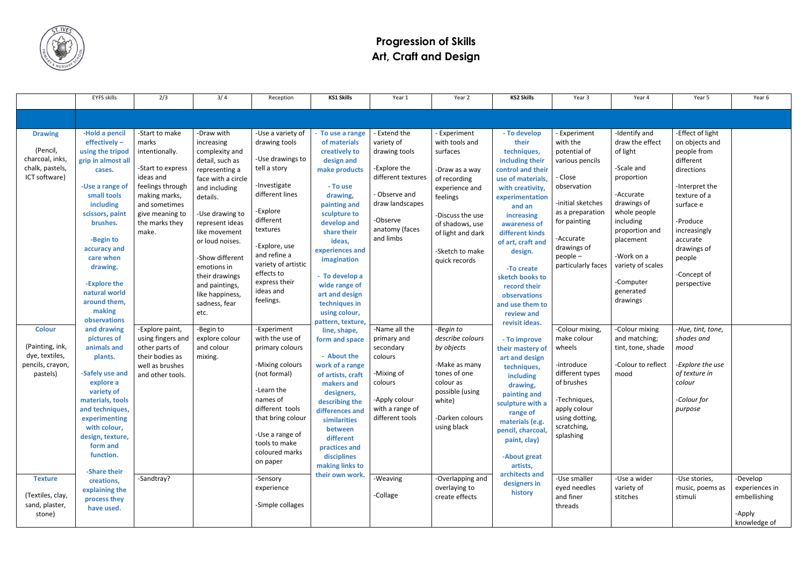

## **Progression of Skills Art, Craft and Design**

|                                                                                                                                                      | EYFS skills                                                                                                                                                                                                                                                                                                           | 2/3                                                                                                                                                                             | 3/4                                                                                                                                                                                                                                                                                                                            | Reception                                                                                                                                                                                                                                                              | <b>KS1 Skills</b>                                                                                                                                                                                                                                                                                                              | Year 1                                                                                                                                                           | Year 2                                                                                                                                                                                                          | <b>KS2 Skills</b>                                                                                                                                                                                                                                                                                                                     | Year 3                                                                                                                                                                                                                        | Year 4                                                                                                                                                                                                                                    | Year 5                                                                                                                                                                                                                     | Year 6                                               |
|------------------------------------------------------------------------------------------------------------------------------------------------------|-----------------------------------------------------------------------------------------------------------------------------------------------------------------------------------------------------------------------------------------------------------------------------------------------------------------------|---------------------------------------------------------------------------------------------------------------------------------------------------------------------------------|--------------------------------------------------------------------------------------------------------------------------------------------------------------------------------------------------------------------------------------------------------------------------------------------------------------------------------|------------------------------------------------------------------------------------------------------------------------------------------------------------------------------------------------------------------------------------------------------------------------|--------------------------------------------------------------------------------------------------------------------------------------------------------------------------------------------------------------------------------------------------------------------------------------------------------------------------------|------------------------------------------------------------------------------------------------------------------------------------------------------------------|-----------------------------------------------------------------------------------------------------------------------------------------------------------------------------------------------------------------|---------------------------------------------------------------------------------------------------------------------------------------------------------------------------------------------------------------------------------------------------------------------------------------------------------------------------------------|-------------------------------------------------------------------------------------------------------------------------------------------------------------------------------------------------------------------------------|-------------------------------------------------------------------------------------------------------------------------------------------------------------------------------------------------------------------------------------------|----------------------------------------------------------------------------------------------------------------------------------------------------------------------------------------------------------------------------|------------------------------------------------------|
|                                                                                                                                                      |                                                                                                                                                                                                                                                                                                                       |                                                                                                                                                                                 |                                                                                                                                                                                                                                                                                                                                |                                                                                                                                                                                                                                                                        |                                                                                                                                                                                                                                                                                                                                |                                                                                                                                                                  |                                                                                                                                                                                                                 |                                                                                                                                                                                                                                                                                                                                       |                                                                                                                                                                                                                               |                                                                                                                                                                                                                                           |                                                                                                                                                                                                                            |                                                      |
| <b>Drawing</b><br>(Pencil,<br>charcoal, inks,<br>chalk, pastels,<br>ICT software)                                                                    | -Hold a pencil<br>$effectively -$<br>using the tripod<br>grip in almost all<br>cases.<br>-Use a range of<br>small tools<br>including<br>scissors, paint<br>brushes.<br>-Begin to<br>accuracy and<br>care when<br>drawing.<br>-Explore the<br>natural world<br>around them,<br>making                                  | -Start to make<br>marks<br>intentionally.<br>-Start to express<br>ideas and<br>feelings through<br>making marks,<br>and sometimes<br>give meaning to<br>the marks they<br>make. | -Draw with<br>increasing<br>complexity and<br>detail, such as<br>representing a<br>face with a circle<br>and including<br>details.<br>-Use drawing to<br>represent ideas<br>like movement<br>or loud noises.<br>-Show different<br>emotions in<br>their drawings<br>and paintings,<br>like happiness,<br>sadness, fear<br>etc. | -Use a variety of<br>drawing tools<br>-Use drawings to<br>tell a story<br>-Investigate<br>different lines<br>-Explore<br>different<br>textures<br>-Explore, use<br>and refine a<br>variety of artistic<br>effects to<br>express their<br>ideas and<br>feelings.        | - To use a range<br>of materials<br>creatively to<br>design and<br>make products<br>- To use<br>drawing,<br>painting and<br>sculpture to<br>develop and<br>share their<br>ideas,<br>experiences and<br>imagination<br>- To develop a<br>wide range of<br>art and design<br>techniques in<br>using colour,<br>pattern, texture, | - Extend the<br>variety of<br>drawing tools<br>-Explore the<br>different textures<br>- Observe and<br>draw landscapes<br>-Observe<br>anatomy (faces<br>and limbs | - Experiment<br>with tools and<br>surfaces<br>-Draw as a way<br>of recording<br>experience and<br>feelings<br>-Discuss the use<br>of shadows, use<br>of light and dark<br>-Sketch to make<br>quick records      | - To develop<br>their<br>techniques,<br>including their<br>control and their<br>use of materials,<br>with creativity,<br>experimentation<br>and an<br>increasing<br>awareness of<br>different kinds<br>of art, craft and<br>design.<br>-To create<br>sketch books to<br>record their<br>observations<br>and use them to<br>review and | - Experiment<br>with the<br>potential of<br>various pencils<br>Close<br>observation<br>-initial sketches<br>as a preparation<br>for painting<br>-Accurate<br>drawings of<br>$people -$<br>particularly faces                  | -Identify and<br>draw the effect<br>of light<br>-Scale and<br>proportion<br>-Accurate<br>drawings of<br>whole people<br>including<br>proportion and<br>placement<br>-Work on a<br>variety of scales<br>-Computer<br>generated<br>drawings | -Effect of light<br>on objects and<br>people from<br>different<br>directions<br>-Interpret the<br>texture of a<br>surface e<br>-Produce<br>increasingly<br>accurate<br>drawings of<br>people<br>-Concept of<br>perspective |                                                      |
| <b>Colour</b><br>(Painting, ink,<br>dye, textiles,<br>pencils, crayon,<br>pastels)<br><b>Texture</b><br>(Textiles, clay,<br>sand, plaster,<br>stone) | observations<br>and drawing<br>pictures of<br>animals and<br>plants.<br>-Safely use and<br>explore a<br>variety of<br>materials, tools<br>and techniques,<br>experimenting<br>with colour,<br>design, texture,<br>form and<br>function.<br>-Share their<br>creations,<br>explaining the<br>process they<br>have used. | -Explore paint,<br>using fingers and<br>other parts of<br>their bodies as<br>well as brushes<br>and other tools.<br>-Sandtray?                                                  | -Begin to<br>explore colour<br>and colour<br>mixing.                                                                                                                                                                                                                                                                           | -Experiment<br>with the use of<br>primary colours<br>-Mixing colours<br>(not formal)<br>-Learn the<br>names of<br>different tools<br>that bring colour<br>-Use a range of<br>tools to make<br>coloured marks<br>on paper<br>-Sensory<br>experience<br>-Simple collages | line, shape,<br>form and space<br>- About the<br>work of a range<br>of artists, craft<br>makers and<br>designers,<br>describing the<br>differences and<br>similarities<br>between<br>different<br>practices and<br>disciplines<br>making links to<br>their own work.                                                           | -Name all the<br>primary and<br>secondary<br>colours<br>-Mixing of<br>colours<br>-Apply colour<br>with a range of<br>different tools<br>-Weaving<br>-Collage     | -Begin to<br>describe colours<br>by objects<br>-Make as many<br>tones of one<br>colour as<br>possible (using<br>white)<br>-Darken colours<br>using black<br>-Overlapping and<br>overlaying to<br>create effects | revisit ideas.<br>- To improve<br>their mastery of<br>art and design<br>techniques,<br>including<br>drawing,<br>painting and<br>sculpture with a<br>range of<br>materials (e.g.<br>pencil, charcoal<br>paint, clay)<br>-About great<br>artists,<br>architects and<br>designers in<br>history                                          | -Colour mixing,<br>make colour<br>wheels<br>-introduce<br>different types<br>of brushes<br>-Techniques,<br>apply colour<br>using dotting,<br>scratching,<br>splashing<br>-Use smaller<br>eyed needles<br>and finer<br>threads | -Colour mixing<br>and matching;<br>tint, tone, shade<br>-Colour to reflect<br>mood<br>-Use a wider<br>variety of<br>stitches                                                                                                              | -Hue, tint, tone,<br>shades and<br>mood<br>-Explore the use<br>of texture in<br>colour<br>-Colour for<br>purpose<br>-Use stories,<br>music, poems as<br>stimuli                                                            | -Develop<br>experiences in<br>embellishing<br>-Apply |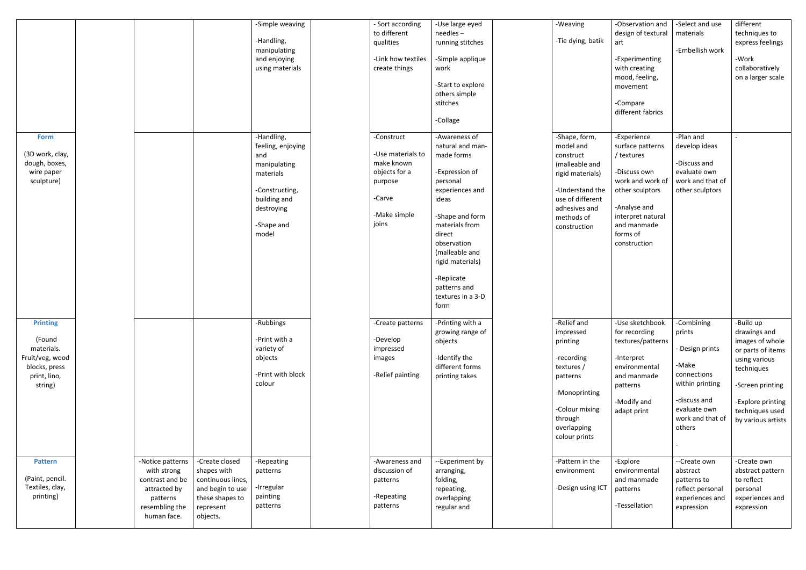|                                                                                                        |                                                                                                                 |                                                                                                                    | -Simple weaving<br>-Handling,<br>manipulating<br>and enjoying<br>using materials                                                           | - Sort according<br>to different<br>qualities<br>-Link how textiles<br>create things                         | -Use large eyed<br>needles-<br>running stitches<br>-Simple applique<br>work<br>-Start to explore<br>others simple<br>stitches<br>-Collage                                                                                                                                | -Weaving<br>-Tie dying, batik                                                                                                                                       | -Observation and<br>design of textural<br>art<br>-Experimenting<br>with creating<br>mood, feeling,<br>movement<br>-Compare<br>different fabrics                                      | -Select and use<br>materials<br>-Embellish work                                                                                                  | different<br>techniques to<br>express feelings<br>-Work<br>collaboratively<br>on a larger scale                                                                                    |
|--------------------------------------------------------------------------------------------------------|-----------------------------------------------------------------------------------------------------------------|--------------------------------------------------------------------------------------------------------------------|--------------------------------------------------------------------------------------------------------------------------------------------|--------------------------------------------------------------------------------------------------------------|--------------------------------------------------------------------------------------------------------------------------------------------------------------------------------------------------------------------------------------------------------------------------|---------------------------------------------------------------------------------------------------------------------------------------------------------------------|--------------------------------------------------------------------------------------------------------------------------------------------------------------------------------------|--------------------------------------------------------------------------------------------------------------------------------------------------|------------------------------------------------------------------------------------------------------------------------------------------------------------------------------------|
| <b>Form</b><br>(3D work, clay,<br>dough, boxes,<br>wire paper<br>sculpture)                            |                                                                                                                 |                                                                                                                    | -Handling,<br>feeling, enjoying<br>and<br>manipulating<br>materials<br>-Constructing,<br>building and<br>destroying<br>-Shape and<br>model | -Construct<br>-Use materials to<br>make known<br>objects for a<br>purpose<br>-Carve<br>-Make simple<br>joins | -Awareness of<br>natural and man-<br>made forms<br>-Expression of<br>personal<br>experiences and<br>ideas<br>-Shape and form<br>materials from<br>direct<br>observation<br>(malleable and<br>rigid materials)<br>-Replicate<br>patterns and<br>textures in a 3-D<br>form | -Shape, form,<br>model and<br>construct<br>(malleable and<br>rigid materials)<br>-Understand the<br>use of different<br>adhesives and<br>methods of<br>construction | -Experience<br>surface patterns<br>/ textures<br>-Discuss own<br>work and work of<br>other sculptors<br>-Analyse and<br>interpret natural<br>and manmade<br>forms of<br>construction | -Plan and<br>develop ideas<br>-Discuss and<br>evaluate own<br>work and that of<br>other sculptors                                                |                                                                                                                                                                                    |
| <b>Printing</b><br>(Found<br>materials.<br>Fruit/veg, wood<br>blocks, press<br>print, lino,<br>string) |                                                                                                                 |                                                                                                                    | -Rubbings<br>-Print with a<br>variety of<br>objects<br>-Print with block<br>colour                                                         | -Create patterns<br>-Develop<br>impressed<br>images<br>-Relief painting                                      | -Printing with a<br>growing range of<br>objects<br>-Identify the<br>different forms<br>printing takes                                                                                                                                                                    | -Relief and<br>impressed<br>printing<br>-recording<br>textures /<br>patterns<br>-Monoprinting<br>-Colour mixing<br>through<br>overlapping<br>colour prints          | -Use sketchbook<br>for recording<br>textures/patterns<br>-Interpret<br>environmental<br>and manmade<br>patterns<br>-Modify and<br>adapt print                                        | -Combining<br>prints<br>- Design prints<br>-Make<br>connections<br>within printing<br>-discuss and<br>evaluate own<br>work and that of<br>others | -Build up<br>drawings and<br>images of whole<br>or parts of items<br>using various<br>techniques<br>-Screen printing<br>-Explore printing<br>techniques used<br>by various artists |
| <b>Pattern</b><br>(Paint, pencil.<br>Textiles, clay,<br>printing)                                      | -Notice patterns<br>with strong<br>contrast and be<br>attracted by<br>patterns<br>resembling the<br>human face. | -Create closed<br>shapes with<br>continuous lines,<br>and begin to use<br>these shapes to<br>represent<br>objects. | -Repeating<br>patterns<br>-Irregular<br>painting<br>patterns                                                                               | -Awareness and<br>discussion of<br>patterns<br>-Repeating<br>patterns                                        | --Experiment by<br>arranging,<br>folding,<br>repeating,<br>overlapping<br>regular and                                                                                                                                                                                    | -Pattern in the<br>environment<br>-Design using ICT                                                                                                                 | -Explore<br>environmental<br>and manmade<br>patterns<br>-Tessellation                                                                                                                | --Create own<br>abstract<br>patterns to<br>reflect personal<br>experiences and<br>expression                                                     | -Create own<br>abstract pattern<br>to reflect<br>personal<br>experiences and<br>expression                                                                                         |